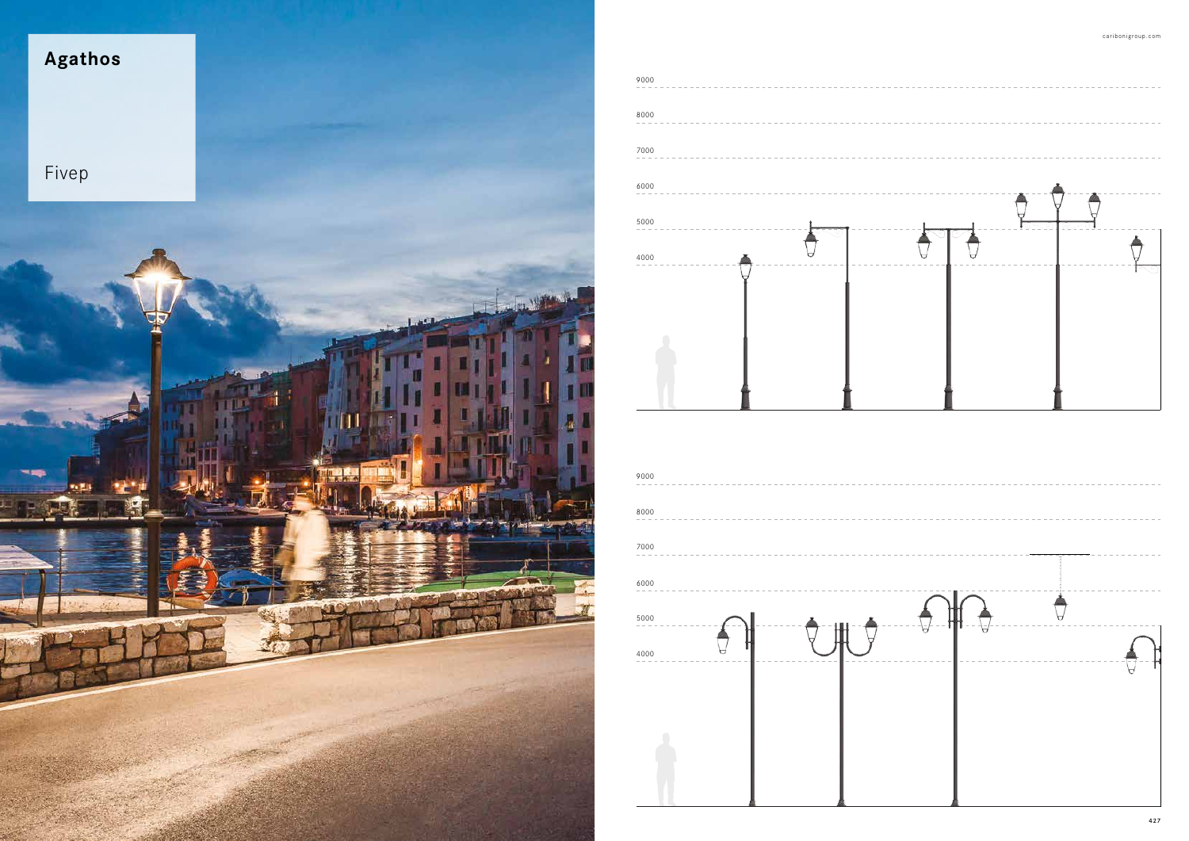



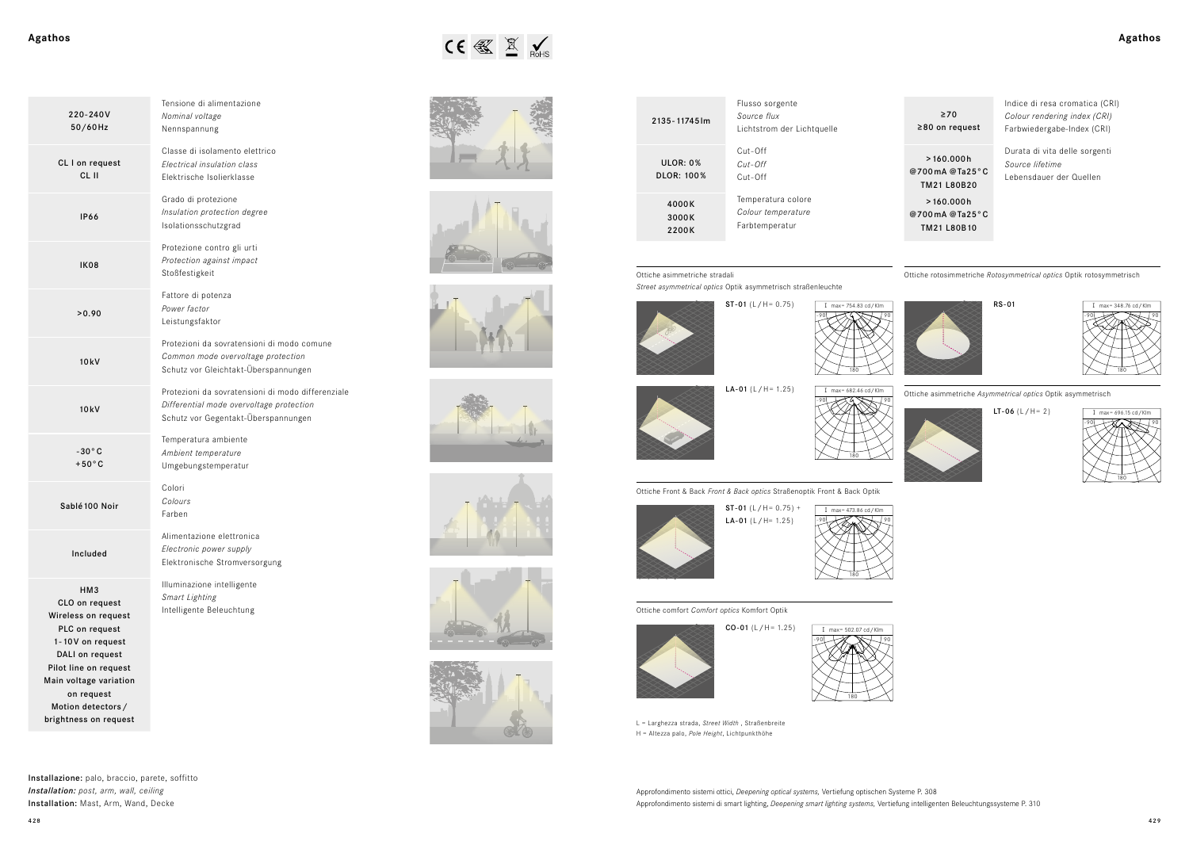| Agathos | $\begin{picture}(20,10) \put(0,0){\line(1,0){15}} \put(15,0){\line(1,0){15}} \put(15,0){\line(1,0){15}} \put(15,0){\line(1,0){15}} \put(15,0){\line(1,0){15}} \put(15,0){\line(1,0){15}} \put(15,0){\line(1,0){15}} \put(15,0){\line(1,0){15}} \put(15,0){\line(1,0){15}} \put(15,0){\line(1,0){15}} \put(15,0){\line(1,0){15}} \put(15,0){\line(1$ | Agathos |
|---------|-----------------------------------------------------------------------------------------------------------------------------------------------------------------------------------------------------------------------------------------------------------------------------------------------------------------------------------------------------|---------|
|         |                                                                                                                                                                                                                                                                                                                                                     |         |















RS-01

Installazione: palo, braccio, parete, soffitto *Installation: post, arm, wall, ceiling* Installation: Mast, Arm, Wand, Decke













Approfondimento sistemi ottici, *Deepening optical systems,* Vertiefung optischen Systeme P. 308 Approfondimento sistemi di smart lighting, *Deepening smart lighting systems,* Vertiefung intelligenten Beleuchtungssysteme P. 310

| 220-240V<br>50/60Hz                                                                                                                                                                                                  | Tensione di alimentazione<br>Nominal voltage<br>Nennspannung                                                                         |
|----------------------------------------------------------------------------------------------------------------------------------------------------------------------------------------------------------------------|--------------------------------------------------------------------------------------------------------------------------------------|
| CL I on request<br>CL II                                                                                                                                                                                             | Classe di isolamento elettrico<br>Electrical insulation class<br>Elektrische Isolierklasse                                           |
| <b>IP66</b>                                                                                                                                                                                                          | Grado di protezione<br>Insulation protection degree<br>Isolationsschutzgrad                                                          |
| IK08                                                                                                                                                                                                                 | Protezione contro gli urti<br>Protection against impact<br>Stoßfestigkeit                                                            |
| >0.90                                                                                                                                                                                                                | Fattore di potenza<br>Power factor<br>Leistungsfaktor                                                                                |
| 10kV                                                                                                                                                                                                                 | Protezioni da sovratensioni di modo comune<br>Common mode overvoltage protection<br>Schutz vor Gleichtakt-Überspannungen             |
| 10kV                                                                                                                                                                                                                 | Protezioni da sovratensioni di modo differenziale<br>Differential mode overvoltage protection<br>Schutz vor Gegentakt-Überspannungen |
| $-30^{\circ}$ C<br>$+50^{\circ}$ C                                                                                                                                                                                   | Temperatura ambiente<br>Ambient temperature<br>Umgebungstemperatur                                                                   |
| Sablé 100 Noir                                                                                                                                                                                                       | Colori<br>Colours<br>Farben                                                                                                          |
| Included                                                                                                                                                                                                             | Alimentazione elettronica<br>Electronic power supply<br>Elektronische Stromversorgung                                                |
| HM3<br>CLO on request<br>Wireless on request<br>PLC on request<br>1-10V on request<br>DALI on request<br>Pilot line on request<br>Main voltage variation<br>on request<br>Motion detectors/<br>brightness on request | Illuminazione intelligente<br>Smart Lighting<br>Intelligente Beleuchtung                                                             |

| 2135 - 11745 lm               | Flusso sorgente<br>Source flux<br>Lichtstrom der Lichtquelle |
|-------------------------------|--------------------------------------------------------------|
| ULOR: 0%<br><b>DLOR: 100%</b> | $Cut-Off$<br>$Cut$ -Off<br>$Cut-Off$                         |
| 4000K<br>3000K<br>2200K       | Temperatura colore<br>Colour temperature<br>Farbtemperatur   |

Indice di resa cromatica (CRI) *Colour rendering index (CRI)* Farbwiedergabe-Index (CRI)

≥70 ≥80 on request >160.000h @700mA @Ta25°C

TM21 L80B20 >160.000h @700mA @Ta25°C TM21 L80B10

Durata di vita delle sorgenti *Source lifetime* Lebensdauer der Quellen

L = Larghezza strada, *Street Width* , Straßenbreite H = Altezza palo, *Pole Height*, Lichtpunkthöhe

Ottiche Front & Back *Front & Back optics* Straßenoptik Front & Back Optik



Ottiche asimmetriche stradali

*Street asymmetrical optics* Optik asymmetrisch straßenleuchte

Ottiche comfort *Comfort optics* Komfort Optik

Ottiche rotosimmetriche *Rotosymmetrical optics* Optik rotosymmetrisch



Ottiche asimmetriche *Asymmetrical optics* Optik asymmetrisch



**LT-06**  $(L/H = 2)$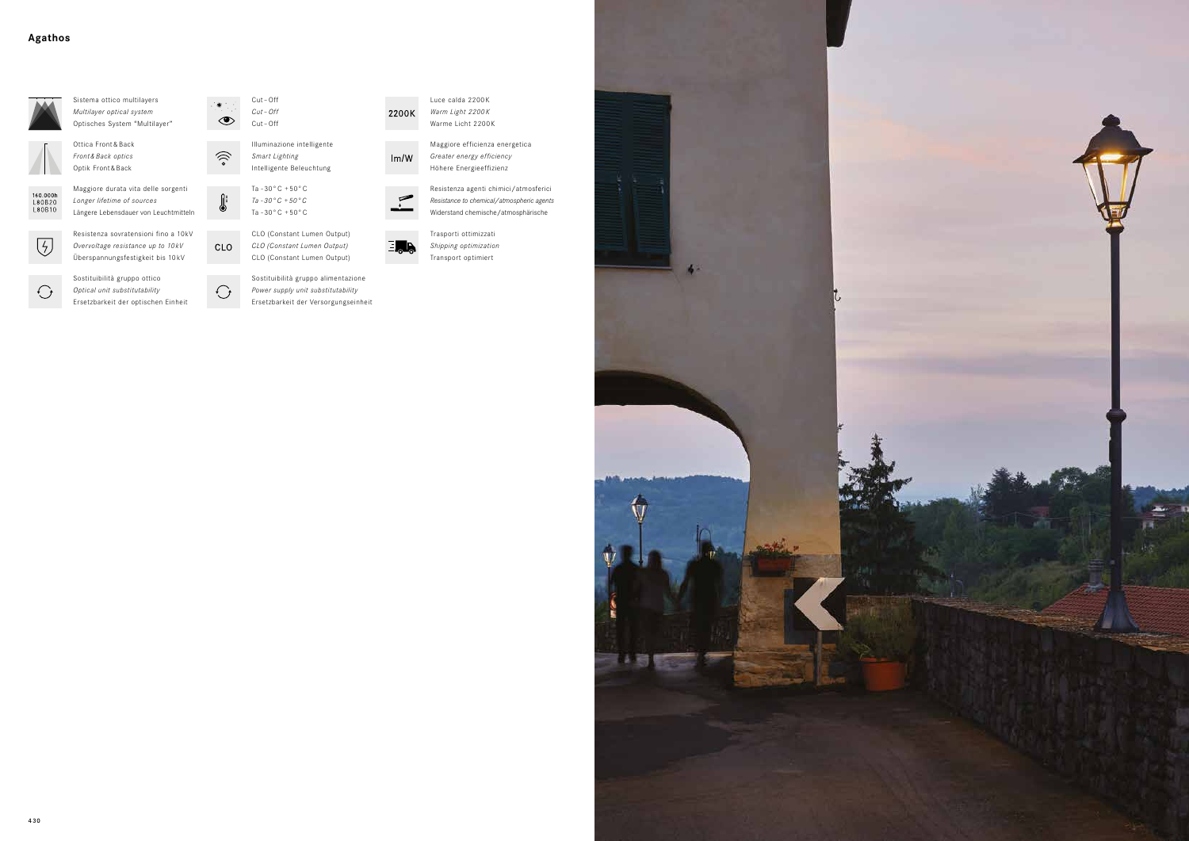



*Shipping optimization* Transport optimiert



*Power supply unit substitutability* Ersetzbarkeit der Versorgungseinheit

Sostituibilità gruppo ottico *Optical unit substitutability*



Ersetzbarkeit der optischen Einheit



 $\widehat{\mathcal{D}}$ 

 $\Omega$ :

(U)

CLO

 $\bigodot$ 

Luce calda 2200K *Warm Light 2200K* Warme Licht 2200 K



Sostituibilità gruppo alimentazione CLO (Constant Lumen Output)



Illuminazione intelligente *Smart Lighting* Intelligente Beleuchtung

Resistenza sovratensioni fino a 10kV *Overvoltage resistance up to 10 kV* Überspannungsfestigkeit bis 10 kV



Ottica Front&Back *Front & Back optics* Optik Front & Back





Maggiore efficienza energetica *Greater energy efficiency* Höhere Energieeffizienz



2200K

 $Im/W$ 



Maggiore durata vita delle sorgenti

 $\bigodot$ 



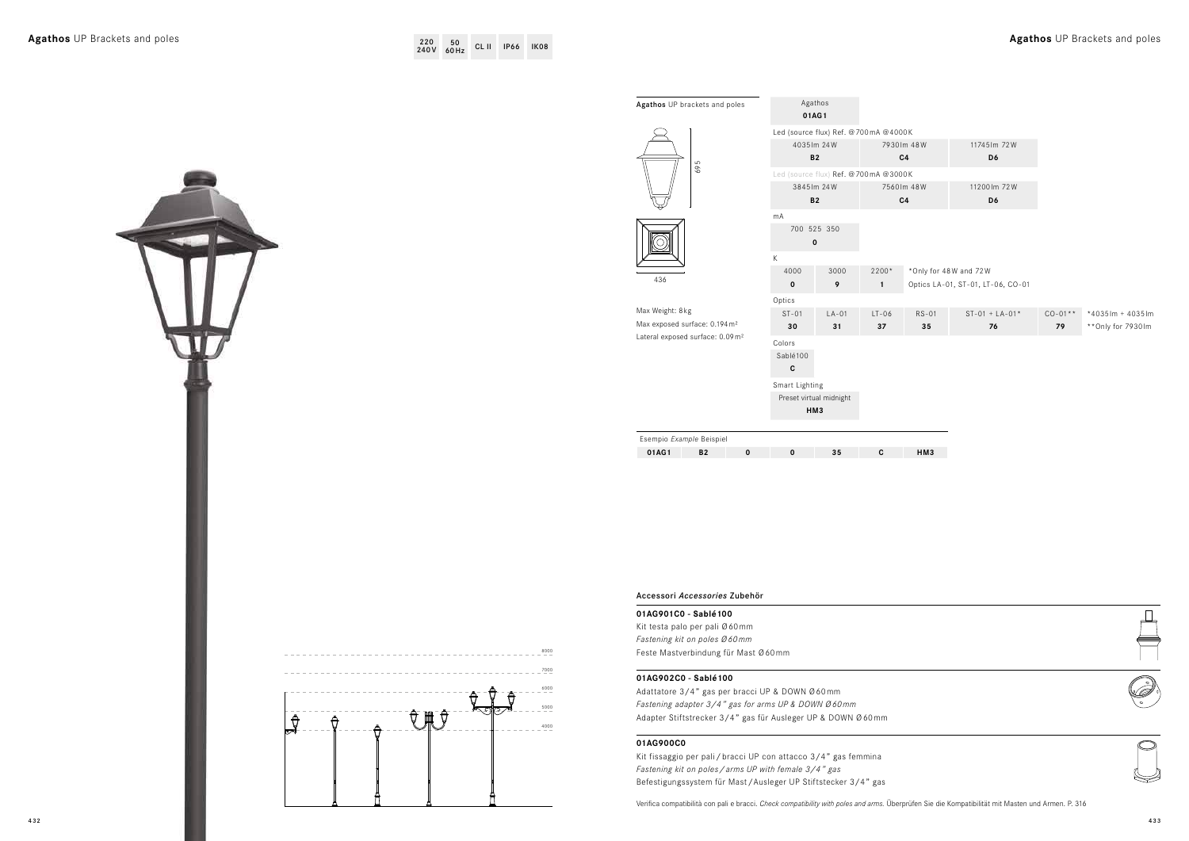| Led (source flux) Ref. @700mA @4000K<br>4035 lm 24W<br><b>B2</b> |         |                                      |                |                                   |             |                     |
|------------------------------------------------------------------|---------|--------------------------------------|----------------|-----------------------------------|-------------|---------------------|
|                                                                  |         |                                      |                |                                   |             |                     |
|                                                                  |         |                                      | 7930 lm 48W    | 11745 lm 72W                      |             |                     |
|                                                                  |         |                                      | C <sub>4</sub> | D6                                |             |                     |
|                                                                  |         | Led (source flux) Ref. @700mA @3000K |                |                                   |             |                     |
| 3845 lm 24W                                                      |         |                                      | 7560 lm 48W    | 11200 lm 72W                      |             |                     |
| <b>B2</b>                                                        |         |                                      | C <sub>4</sub> | D6                                |             |                     |
|                                                                  |         |                                      |                |                                   |             |                     |
| 700 525 350                                                      |         |                                      |                |                                   |             |                     |
| $\pmb{0}$                                                        |         |                                      |                |                                   |             |                     |
|                                                                  |         |                                      |                |                                   |             |                     |
|                                                                  | 3000    | 2200*                                |                | *Only for 48W and 72W             |             |                     |
|                                                                  | 9       | $\mathbf{1}$                         |                | Optics LA-01, ST-01, LT-06, CO-01 |             |                     |
|                                                                  |         |                                      |                |                                   |             |                     |
|                                                                  | $LA-01$ | $LT-06$                              | $RS-01$        | $ST-01 + LA-01*$                  | $CO - 01**$ | *4035lm + 4035lm    |
|                                                                  | 31      | 37                                   | 35             | 76                                | 79          | ** Only for 7930 lm |
|                                                                  |         |                                      |                |                                   |             |                     |
| Sablé100                                                         |         |                                      |                |                                   |             |                     |
|                                                                  |         |                                      |                |                                   |             |                     |
|                                                                  |         |                                      |                |                                   |             |                     |
| Smart Lighting                                                   |         |                                      |                |                                   |             |                     |
| Preset virtual midnight                                          |         |                                      |                |                                   |             |                     |
| HM3                                                              |         |                                      |                |                                   |             |                     |
|                                                                  |         |                                      |                |                                   |             |                     |
|                                                                  | 35      | C                                    | HM3            |                                   |             |                     |
|                                                                  |         |                                      |                |                                   |             |                     |





. . . . . . . . . . . . . . . . . . .

 $\frac{1}{2}$ 

Accessori *Accessories* Zubehör

# **01AG901C0 - Sablé100**

Kit testa palo per pali Ø60mm *Fastening kit on poles Ø60mm* Feste Mastverbindung für Mast Ø60mm

# **01AG902C0 - Sablé100**

Adattatore 3/4" gas per bracci UP & DOWN Ø60mm *Fastening adapter 3/4" gas for arms UP & DOWN Ø60mm* Adapter Stiftstrecker 3/4" gas für Ausleger UP & DOWN Ø60mm

# **01AG900C0**

Kit fissaggio per pali/bracci UP con attacco 3/4" gas femmina *Fastening kit on poles/arms UP with female 3/4" gas* Befestigungssystem für Mast/Ausleger UP Stiftstecker 3/4" gas

Verifica compatibilità con pali e bracci. *Check compatibility with poles and arms.* Überprüfen Sie die Kompatibilität mit Masten und Armen. P. 316

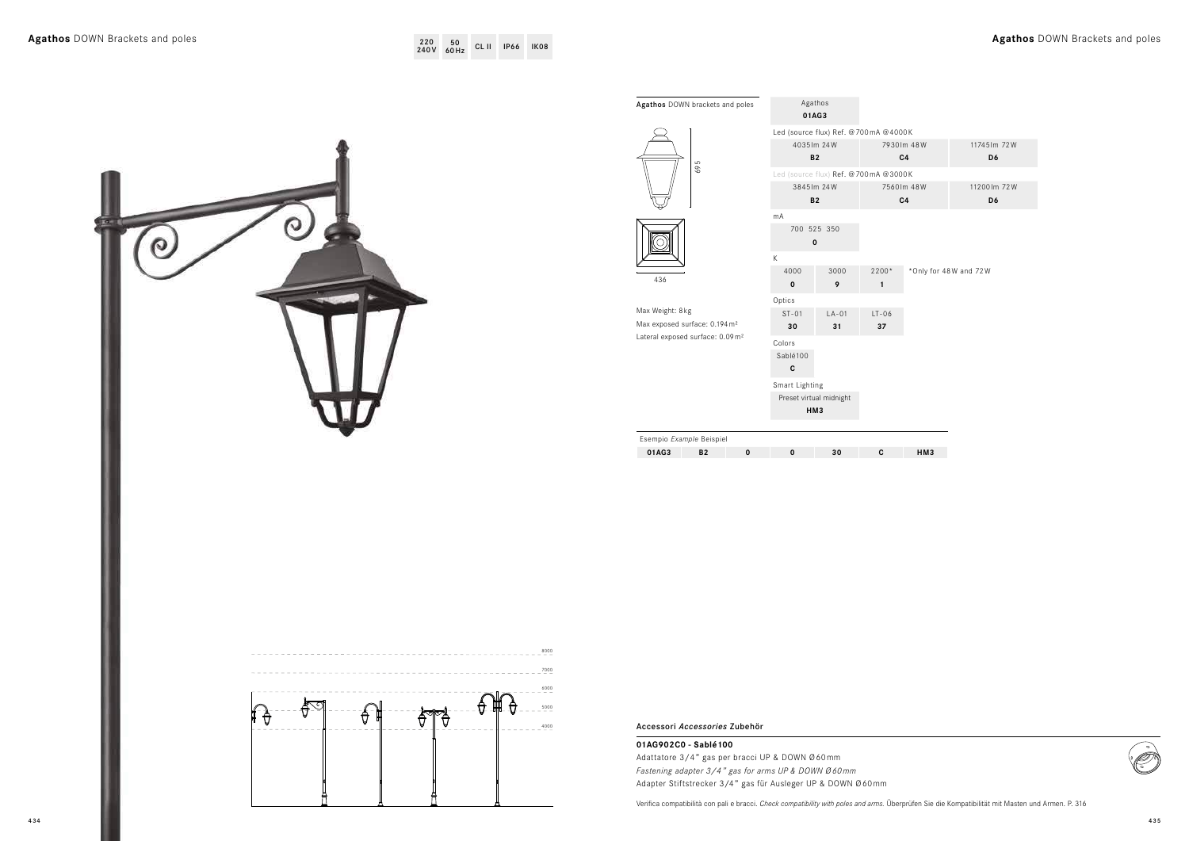| A @4000K    |               |
|-------------|---------------|
| 7930 lm 48W | 11745 lm 72 W |
| C4          | D6            |
| A @3000K    |               |
| 7560 lm 48W | 11200 lm 72 W |
| C4          | D6            |
|             |               |



|                                      | Agathos DOWN brackets and poles                                                                                                                                                              | Agathos<br>01AG3                                               |                         |
|--------------------------------------|----------------------------------------------------------------------------------------------------------------------------------------------------------------------------------------------|----------------------------------------------------------------|-------------------------|
|                                      | 695                                                                                                                                                                                          | Led (source flux) Ref. @700mA @400<br>4035 lm 24W<br>B2        | 7930                    |
|                                      |                                                                                                                                                                                              | Led (source flux) Ref. @700mA @300<br>3845 lm 24W<br><b>B2</b> | 7560                    |
|                                      | <u>ල</u>                                                                                                                                                                                     | $mA$<br>700 525 350<br>$\mathbf 0$<br>K                        |                         |
|                                      | 436                                                                                                                                                                                          | 4000<br>3000<br>9 <sup>°</sup><br>$\mathbf 0$                  | $2200*$<br>$\mathbf{1}$ |
|                                      | Max Weight: 8kg<br>Max exposed surface: 0.194 m <sup>2</sup><br>Lateral exposed surface: 0.09 m <sup>2</sup>                                                                                 | Optics<br>$LA-01$<br>$ST-01$<br>30<br>31                       | $LT-06$<br>37           |
|                                      |                                                                                                                                                                                              | Colors<br>Sablé100<br>${\bf c}$                                |                         |
|                                      |                                                                                                                                                                                              | Smart Lighting<br>Preset virtual midnight<br>HM <sub>3</sub>   |                         |
| 8000<br>7000<br>$-6000$<br>5000<br>₩ | 01AG3<br><b>B2</b><br>$\bf{0}$                                                                                                                                                               | 30<br>$\mathbf 0$                                              | C                       |
| ਚੈਂ<br>€<br>$\theta$<br>Π<br>$-4000$ | Accessori Accessories Zubehör                                                                                                                                                                |                                                                |                         |
|                                      |                                                                                                                                                                                              |                                                                |                         |
|                                      | 01AG902C0 - Sablé100<br>Adattatore 3/4" gas per bracci UP & DOWN Ø60mm<br>Fastening adapter 3/4" gas for arms UP & DOWN Ø60mm<br>Adapter Stiftstrecker 3/4" gas für Ausleger UP & DOWN Ø60mm |                                                                |                         |

# **Agathos** DOWN Brackets and poles **Agathos** DOWN Brackets and poles <sup>220</sup>

**01AG3 B2 0 0 30 C HM3**

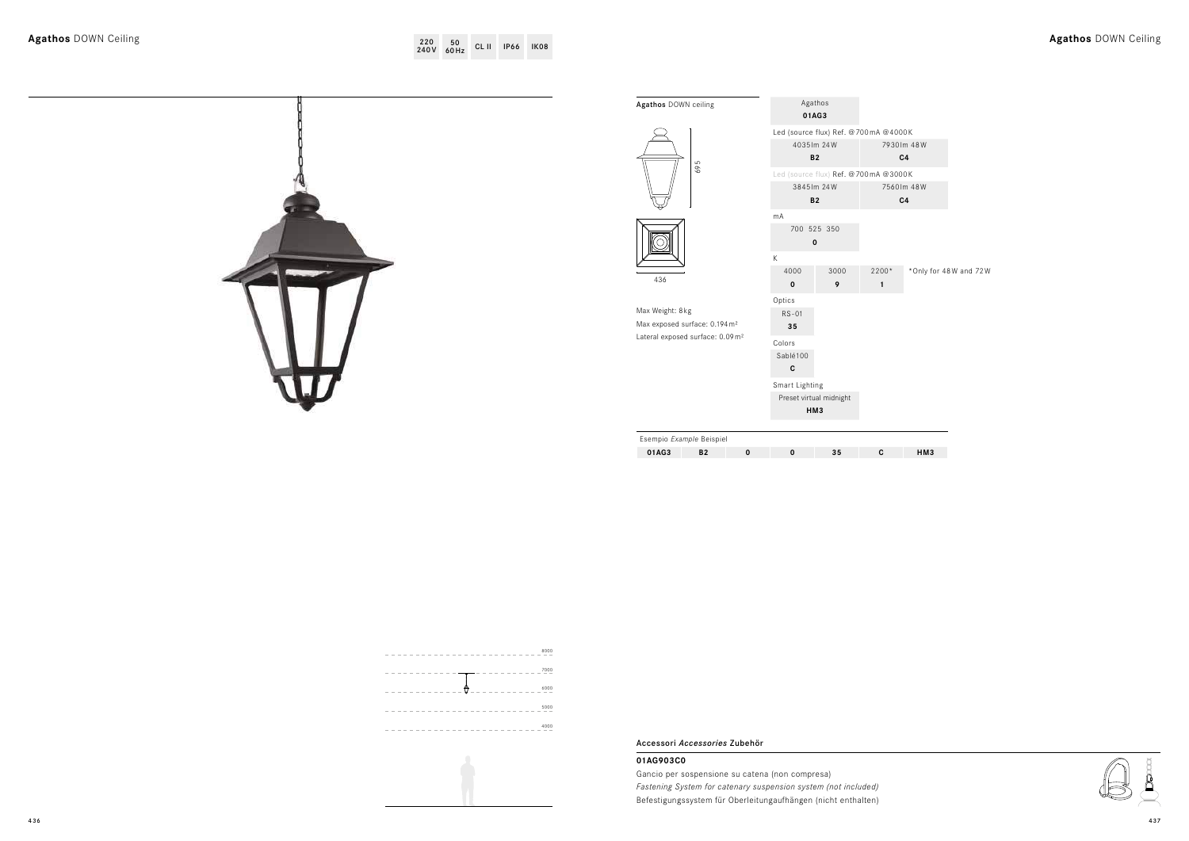lly for 48W and 72W



| Agathos DOWN ceiling                        |                     | Agathos<br>01AG3                     |                       |                   |
|---------------------------------------------|---------------------|--------------------------------------|-----------------------|-------------------|
|                                             |                     | Led (source flux) Ref. @700mA @4000K |                       |                   |
|                                             |                     | 4035 lm 24W                          |                       | 7930 lm 48W       |
| 695                                         |                     | <b>B2</b>                            |                       | C4                |
|                                             |                     | Led (source flux) Ref. @700mA @3000K |                       |                   |
|                                             |                     | 3845 lm 24W<br><b>B2</b>             |                       | 7560 lm 48W<br>C4 |
|                                             | mA                  |                                      |                       |                   |
|                                             |                     | 700 525 350<br>$\mathbf 0$           |                       |                   |
|                                             | $\mathsf K$         |                                      |                       |                   |
| 436                                         | 4000<br>$\mathbf 0$ | 3000<br>9                            | 2200*<br>$\mathbf{1}$ | *Only f           |
|                                             | Optics              |                                      |                       |                   |
| Max Weight: 8kg                             | $RS-01$             |                                      |                       |                   |
| Max exposed surface: 0.194 m <sup>2</sup>   | ${\bf 35}$          |                                      |                       |                   |
| Lateral exposed surface: 0.09m <sup>2</sup> | Colors              |                                      |                       |                   |
|                                             | Sablé100            |                                      |                       |                   |
|                                             | $\mathbf{c}$        |                                      |                       |                   |
|                                             | Smart Lighting      |                                      |                       |                   |
|                                             |                     | Preset virtual midnight<br>HM3       |                       |                   |
|                                             |                     |                                      |                       |                   |
| Esempio Example Beispiel                    |                     |                                      |                       |                   |
| 01AG3<br><b>B2</b><br>$\mathbf 0$           | $\mathbf 0$         | 35                                   | C                     | HM3               |
|                                             |                     |                                      |                       |                   |



Accessori *Accessories* Zubehör

# **01AG903C0**

Gancio per sospensione su catena (non compresa) *Fastening System for catenary suspension system (not included)* Befestigungssystem für Oberleitungaufhängen (nicht enthalten)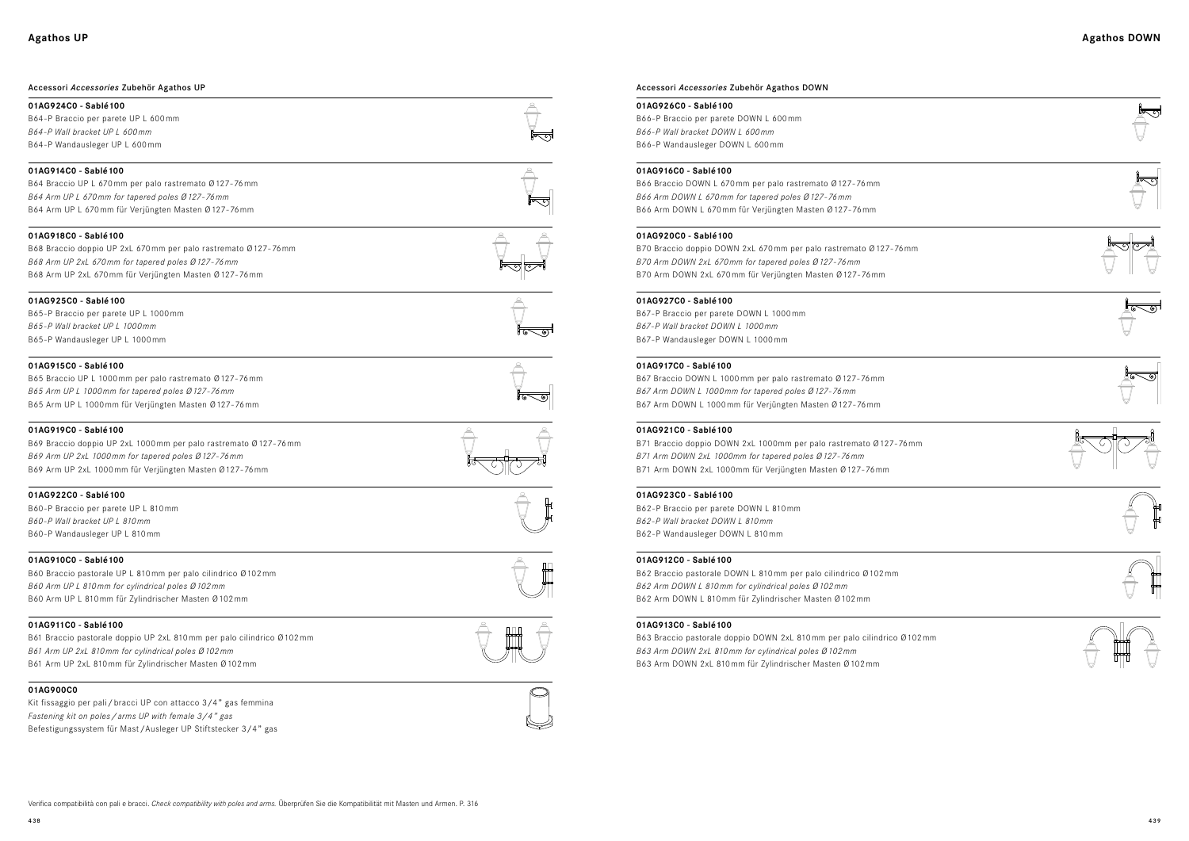

## Accessori *Accessories* Zubehör Agathos UP

## **01AG924C0 - Sablé100**

B64-P Braccio per parete UP L 600mm *B64-P Wall bracket UP L 600mm* B64-P Wandausleger UP L 600mm

# **01AG914C0 - Sablé100**

B64 Braccio UP L 670mm per palo rastremato Ø127-76mm *B64 Arm UP L 670 mm for tapered poles Ø 127 - 76 mm* B64 Arm UP L 670mm für Verjüngten Masten Ø127-76mm

## **01AG918C0 - Sablé100**

B68 Braccio doppio UP 2xL 670mm per palo rastremato Ø127-76mm *B68 Arm UP 2xL 670 mm for tapered poles Ø 127 - 76 mm* B68 Arm UP 2xL 670mm für Verjüngten Masten Ø127-76mm

#### **01AG925C0 - Sablé100**

B65-P Braccio per parete UP L 1000mm *B65 - P Wall bracket UP L 1000 mm* B65-P Wandausleger UP L 1000mm

# **01AG915C0 - Sablé100**

B65 Braccio UP L 1000mm per palo rastremato Ø127-76mm *B65 Arm UP L 1000 mm for tapered poles Ø 127 - 76 mm* B65 Arm UP L 1000mm für Verjüngten Masten Ø127-76mm

#### **01AG919C0 - Sablé100**

B69 Braccio doppio UP 2xL 1000mm per palo rastremato Ø127-76mm *B69 Arm UP 2xL 1000 mm for tapered poles Ø 127 - 76 mm* B69 Arm UP 2xL 1000mm für Verjüngten Masten Ø127-76mm

#### **01AG922C0 - Sablé100**

B60-P Braccio per parete UP L 810mm *B60 - P Wall bracket UP L 810 mm* B60-P Wandausleger UP L 810mm

#### **01AG910C0 - Sablé100**

B60 Braccio pastorale UP L 810mm per palo cilindrico Ø102mm *B60 Arm UP L 810 mm for cylindrical poles Ø 102 mm* B60 Arm UP L 810mm für Zylindrischer Masten Ø102mm

#### **01AG911C0 - Sablé100**

B61 Braccio pastorale doppio UP 2xL 810mm per palo cilindrico Ø102mm *B61 Arm UP 2xL 810 mm for cylindrical poles Ø 102 mm* B61 Arm UP 2xL 810mm für Zylindrischer Masten Ø102mm

## **01AG900C0**

Kit fissaggio per pali/bracci UP con attacco 3/4" gas femmina *Fastening kit on poles/arms UP with female 3/4" gas* Befestigungssystem für Mast/Ausleger UP Stiftstecker 3/4" gas





## Accessori *Accessories* Zubehör Agathos DOWN

#### **01AG926C0 - Sablé100**

B66-P Braccio per parete DOWN L 600mm *B66-P Wall bracket DOWN L 600mm* B66-P Wandausleger DOWN L 600mm

# **01AG916C0 - Sablé100**

B66 Braccio DOWN L 670mm per palo rastremato Ø127-76mm *B66 Arm DOWN L 670 mm for tapered poles Ø 127 - 76 mm* B66 Arm DOWN L 670mm für Verjüngten Masten Ø127-76mm

## **01AG920C0 - Sablé100**

B70 Braccio doppio DOWN 2xL 670mm per palo rastremato Ø127-76mm *B70 Arm DOWN 2xL 670 mm for tapered poles Ø 127 - 76 mm* B70 Arm DOWN 2xL 670mm für Verjüngten Masten Ø127-76mm

## **01AG927C0 - Sablé100**

B67-P Braccio per parete DOWN L 1000mm *B67 - P Wall bracket DOWN L 1000 mm* B67-P Wandausleger DOWN L 1000mm

# **01AG917C0 - Sablé100**

B67 Braccio DOWN L 1000mm per palo rastremato Ø127-76mm *B67 Arm DOWN L 1000 mm for tapered poles Ø 127 - 76 mm* B67 Arm DOWN L 1000mm für Verjüngten Masten Ø127-76mm

# **01AG921C0 - Sablé100**

B71 Braccio doppio DOWN 2xL 1000mm per palo rastremato Ø127-76mm *B71 Arm DOWN 2xL 1000mm for tapered poles Ø 127 - 76 mm* B71 Arm DOWN 2xL 1000mm für Verjüngten Masten Ø127-76mm

#### **01AG923C0 - Sablé100**

B62-P Braccio per parete DOWN L 810mm *B62 - P Wall bracket DOWN L 810 mm* B62-P Wandausleger DOWN L 810mm

#### **01AG912C0 - Sablé100**

B62 Braccio pastorale DOWN L 810mm per palo cilindrico Ø102mm *B62 Arm DOWN L 810 mm for cylindrical poles Ø 102 mm* B62 Arm DOWN L 810mm für Zylindrischer Masten Ø102mm

#### **01AG913C0 - Sablé100**

B63 Braccio pastorale doppio DOWN 2xL 810mm per palo cilindrico Ø102mm *B63 Arm DOWN 2xL 810 mm for cylindrical poles Ø 102 mm* B63 Arm DOWN 2xL 810mm für Zylindrischer Masten Ø102mm